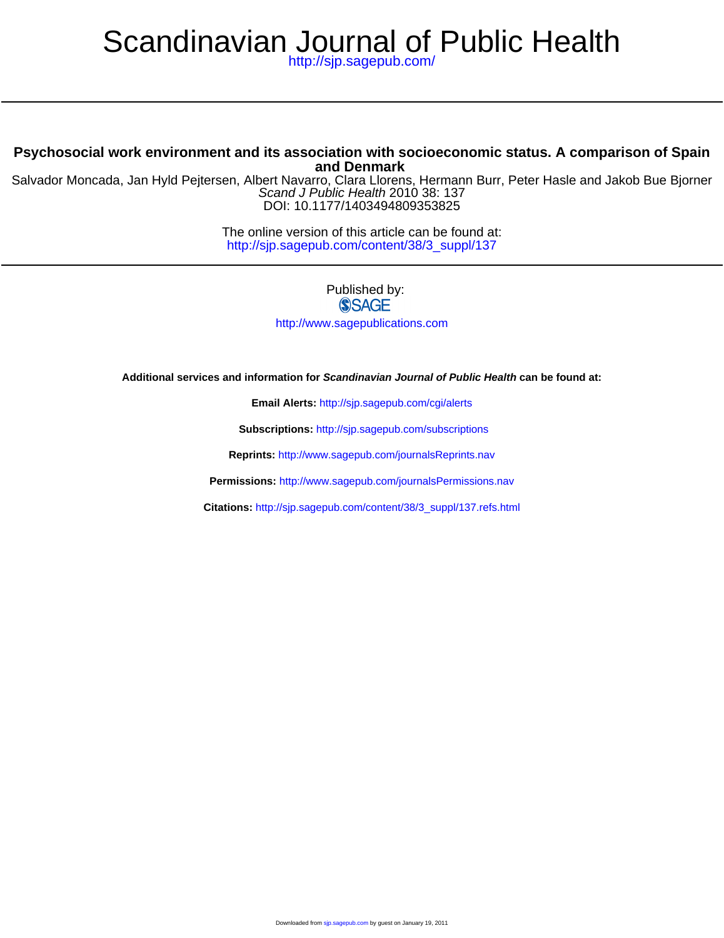# Scandinavian Journal of Public Health

<http://sjp.sagepub.com/>

# **and Denmark Psychosocial work environment and its association with socioeconomic status. A comparison of Spain**

DOI: 10.1177/1403494809353825 Scand J Public Health 2010 38: 137 Salvador Moncada, Jan Hyld Pejtersen, Albert Navarro, Clara Llorens, Hermann Burr, Peter Hasle and Jakob Bue Bjorner

> [http://sjp.sagepub.com/content/38/3\\_suppl/137](http://sjp.sagepub.com/content/38/3_suppl/137) The online version of this article can be found at:

> > Published by:<br>
> > SAGE <http://www.sagepublications.com>

**Additional services and information for Scandinavian Journal of Public Health can be found at:**

**Email Alerts:** <http://sjp.sagepub.com/cgi/alerts>

**Subscriptions:** <http://sjp.sagepub.com/subscriptions>

**Reprints:** <http://www.sagepub.com/journalsReprints.nav>

**Permissions:** <http://www.sagepub.com/journalsPermissions.nav>

**Citations:** [http://sjp.sagepub.com/content/38/3\\_suppl/137.refs.html](http://sjp.sagepub.com/content/38/3_suppl/137.refs.html)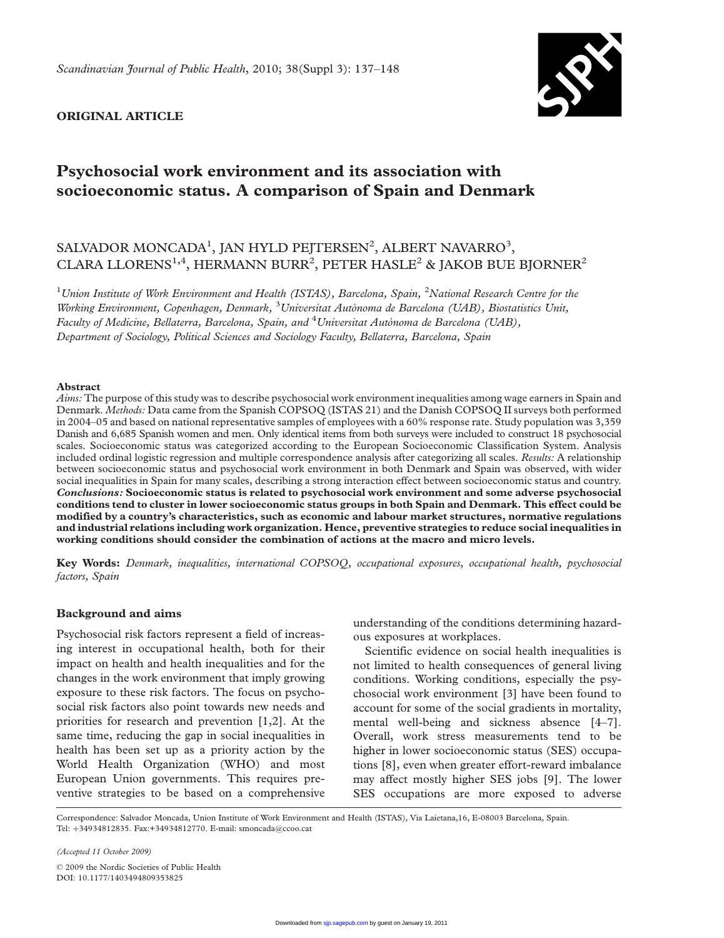

## ORIGINAL ARTICLE

# Psychosocial work environment and its association with socioeconomic status. A comparison of Spain and Denmark

# SALVADOR MONCADA<sup>1</sup>, JAN HYLD PEJTERSEN<sup>2</sup>, ALBERT NAVARRO<sup>3</sup>, CLARA LLORENS<sup>1,4</sup>, HERMANN BURR<sup>2</sup>, PETER HASLE<sup>2</sup> & JAKOB BUE BJORNER<sup>2</sup>

<sup>1</sup>Union Institute of Work Environment and Health (ISTAS), Barcelona, Spain, <sup>2</sup>National Research Centre for the Working Environment, Copenhagen, Denmark, <sup>3</sup>Universitat Autònoma de Barcelona (UAB), Biostatistics Unit, Faculty of Medicine, Bellaterra, Barcelona, Spain, and <sup>4</sup>Universitat Autònoma de Barcelona (UAB), Department of Sociology, Political Sciences and Sociology Faculty, Bellaterra, Barcelona, Spain

#### Abstract

Aims: The purpose of this study was to describe psychosocial work environment inequalities among wage earners in Spain and Denmark. Methods: Data came from the Spanish COPSOQ (ISTAS 21) and the Danish COPSOQ II surveys both performed in 2004–05 and based on national representative samples of employees with a 60% response rate. Study population was 3,359 Danish and 6,685 Spanish women and men. Only identical items from both surveys were included to construct 18 psychosocial scales. Socioeconomic status was categorized according to the European Socioeconomic Classification System. Analysis included ordinal logistic regression and multiple correspondence analysis after categorizing all scales. Results: A relationship between socioeconomic status and psychosocial work environment in both Denmark and Spain was observed, with wider social inequalities in Spain for many scales, describing a strong interaction effect between socioeconomic status and country. Conclusions: Socioeconomic status is related to psychosocial work environment and some adverse psychosocial conditions tend to cluster in lower socioeconomic status groups in both Spain and Denmark. This effect could be modified by a country's characteristics, such as economic and labour market structures, normative regulations and industrial relations including work organization. Hence, preventive strategies to reduce social inequalities in working conditions should consider the combination of actions at the macro and micro levels.

Key Words: Denmark, inequalities, international COPSOQ, occupational exposures, occupational health, psychosocial factors, Spain

#### Background and aims

Psychosocial risk factors represent a field of increasing interest in occupational health, both for their impact on health and health inequalities and for the changes in the work environment that imply growing exposure to these risk factors. The focus on psychosocial risk factors also point towards new needs and priorities for research and prevention [1,2]. At the same time, reducing the gap in social inequalities in health has been set up as a priority action by the World Health Organization (WHO) and most European Union governments. This requires preventive strategies to be based on a comprehensive understanding of the conditions determining hazardous exposures at workplaces.

Scientific evidence on social health inequalities is not limited to health consequences of general living conditions. Working conditions, especially the psychosocial work environment [3] have been found to account for some of the social gradients in mortality, mental well-being and sickness absence [4–7]. Overall, work stress measurements tend to be higher in lower socioeconomic status (SES) occupations [8], even when greater effort-reward imbalance may affect mostly higher SES jobs [9]. The lower SES occupations are more exposed to adverse

Correspondence: Salvador Moncada, Union Institute of Work Environment and Health (ISTAS), Via Laietana,16, E-08003 Barcelona, Spain. Tel: +34934812835. Fax:+34934812770. E-mail: smoncada@ccoo.cat

(Accepted 11 October 2009)  $O$  2009 the Nordic Societies of Public Health DOI: 10.1177/1403494809353825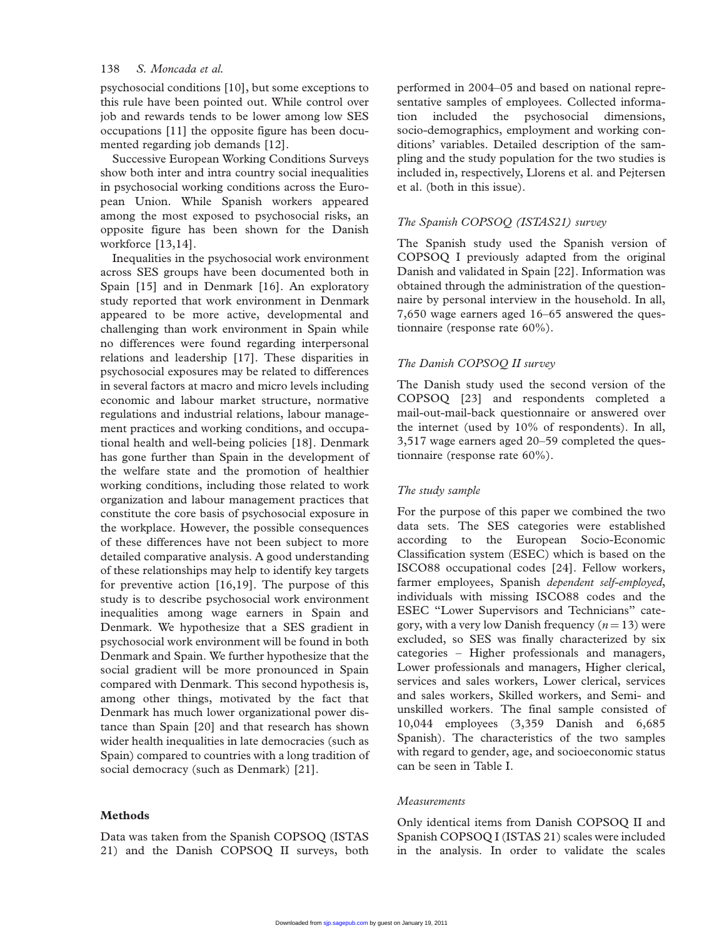#### 138 S. Moncada et al.

psychosocial conditions [10], but some exceptions to this rule have been pointed out. While control over job and rewards tends to be lower among low SES occupations [11] the opposite figure has been documented regarding job demands [12].

Successive European Working Conditions Surveys show both inter and intra country social inequalities in psychosocial working conditions across the European Union. While Spanish workers appeared among the most exposed to psychosocial risks, an opposite figure has been shown for the Danish workforce [13,14].

Inequalities in the psychosocial work environment across SES groups have been documented both in Spain [15] and in Denmark [16]. An exploratory study reported that work environment in Denmark appeared to be more active, developmental and challenging than work environment in Spain while no differences were found regarding interpersonal relations and leadership [17]. These disparities in psychosocial exposures may be related to differences in several factors at macro and micro levels including economic and labour market structure, normative regulations and industrial relations, labour management practices and working conditions, and occupational health and well-being policies [18]. Denmark has gone further than Spain in the development of the welfare state and the promotion of healthier working conditions, including those related to work organization and labour management practices that constitute the core basis of psychosocial exposure in the workplace. However, the possible consequences of these differences have not been subject to more detailed comparative analysis. A good understanding of these relationships may help to identify key targets for preventive action [16,19]. The purpose of this study is to describe psychosocial work environment inequalities among wage earners in Spain and Denmark. We hypothesize that a SES gradient in psychosocial work environment will be found in both Denmark and Spain. We further hypothesize that the social gradient will be more pronounced in Spain compared with Denmark. This second hypothesis is, among other things, motivated by the fact that Denmark has much lower organizational power distance than Spain [20] and that research has shown wider health inequalities in late democracies (such as Spain) compared to countries with a long tradition of social democracy (such as Denmark) [21].

#### Methods

Data was taken from the Spanish COPSOQ (ISTAS 21) and the Danish COPSOQ II surveys, both performed in 2004–05 and based on national representative samples of employees. Collected information included the psychosocial dimensions, socio-demographics, employment and working conditions' variables. Detailed description of the sampling and the study population for the two studies is included in, respectively, Llorens et al. and Pejtersen et al. (both in this issue).

#### The Spanish COPSOQ (ISTAS21) survey

The Spanish study used the Spanish version of COPSOQ I previously adapted from the original Danish and validated in Spain [22]. Information was obtained through the administration of the questionnaire by personal interview in the household. In all, 7,650 wage earners aged 16–65 answered the questionnaire (response rate 60%).

#### The Danish COPSOQ II survey

The Danish study used the second version of the COPSOQ [23] and respondents completed a mail-out-mail-back questionnaire or answered over the internet (used by 10% of respondents). In all, 3,517 wage earners aged 20–59 completed the questionnaire (response rate 60%).

#### The study sample

For the purpose of this paper we combined the two data sets. The SES categories were established according to the European Socio-Economic Classification system (ESEC) which is based on the ISCO88 occupational codes [24]. Fellow workers, farmer employees, Spanish dependent self-employed, individuals with missing ISCO88 codes and the ESEC ''Lower Supervisors and Technicians'' category, with a very low Danish frequency  $(n = 13)$  were excluded, so SES was finally characterized by six categories – Higher professionals and managers, Lower professionals and managers, Higher clerical, services and sales workers, Lower clerical, services and sales workers, Skilled workers, and Semi- and unskilled workers. The final sample consisted of 10,044 employees (3,359 Danish and 6,685 Spanish). The characteristics of the two samples with regard to gender, age, and socioeconomic status can be seen in Table I.

#### Measurements

Only identical items from Danish COPSOQ II and Spanish COPSOQ I (ISTAS 21) scales were included in the analysis. In order to validate the scales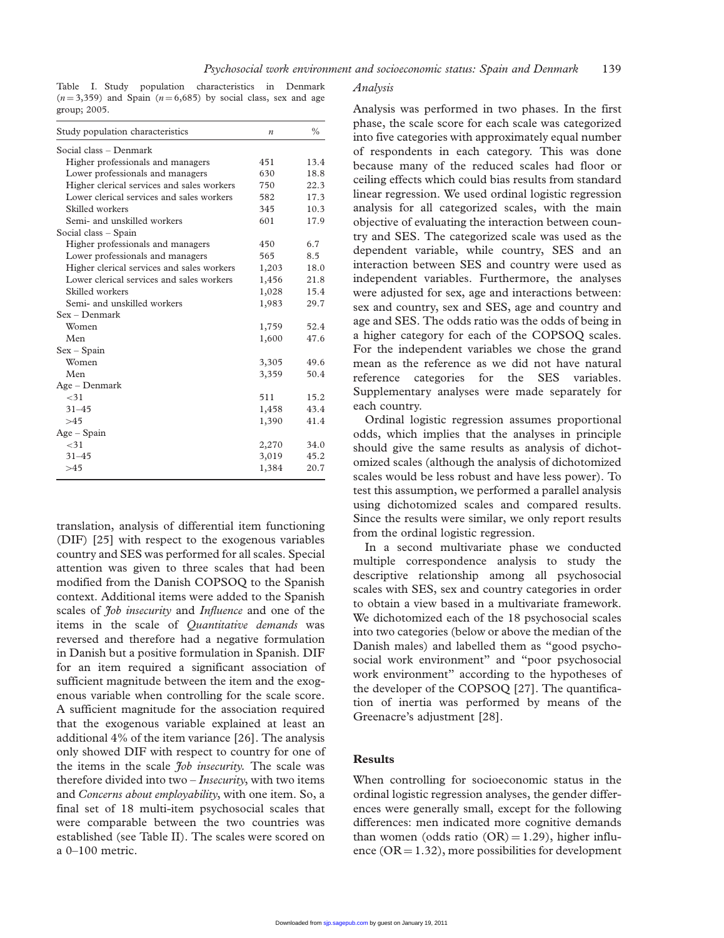Table I. Study population characteristics in Denmark  $(n = 3,359)$  and Spain  $(n = 6,685)$  by social class, sex and age group; 2005.

| Study population characteristics           | $\boldsymbol{n}$ | $\frac{0}{0}$ |
|--------------------------------------------|------------------|---------------|
| Social class - Denmark                     |                  |               |
| Higher professionals and managers          | 451              | 13.4          |
| Lower professionals and managers           | 630              | 18.8          |
| Higher clerical services and sales workers | 750              | 22.3          |
| Lower clerical services and sales workers  | 582              | 17.3          |
| Skilled workers                            | 345              | 10.3          |
| Semi- and unskilled workers                | 601              | 17.9          |
| Social class - Spain                       |                  |               |
| Higher professionals and managers          | 450              | 6.7           |
| Lower professionals and managers           | 565              | 8.5           |
| Higher clerical services and sales workers | 1,203            | 18.0          |
| Lower clerical services and sales workers  | 1,456            | 21.8          |
| Skilled workers                            | 1,028            | 15.4          |
| Semi- and unskilled workers                | 1,983            | 29.7          |
| $Sex - Denmark$                            |                  |               |
| Women                                      | 1,759            | 52.4          |
| Men                                        | 1,600            | 47.6          |
| $Sex - Spain$                              |                  |               |
| Women                                      | 3,305            | 49.6          |
| Men                                        | 3,359            | 50.4          |
| Age - Denmark                              |                  |               |
| < 31                                       | 511              | 15.2          |
| $31 - 45$                                  | 1,458            | 43.4          |
| >45                                        | 1,390            | 41.4          |
| $Age - Spain$                              |                  |               |
| ${<}31$                                    | 2,270            | 34.0          |
| $31 - 45$                                  | 3,019            | 45.2          |
| >45                                        | 1,384            | 20.7          |
|                                            |                  |               |

translation, analysis of differential item functioning (DIF) [25] with respect to the exogenous variables country and SES was performed for all scales. Special attention was given to three scales that had been modified from the Danish COPSOQ to the Spanish context. Additional items were added to the Spanish scales of *Job insecurity* and *Influence* and one of the items in the scale of Quantitative demands was reversed and therefore had a negative formulation in Danish but a positive formulation in Spanish. DIF for an item required a significant association of sufficient magnitude between the item and the exogenous variable when controlling for the scale score. A sufficient magnitude for the association required that the exogenous variable explained at least an additional 4% of the item variance [26]. The analysis only showed DIF with respect to country for one of the items in the scale *Job insecurity*. The scale was therefore divided into two – *Insecurity*, with two items and Concerns about employability, with one item. So, a final set of 18 multi-item psychosocial scales that were comparable between the two countries was established (see Table II). The scales were scored on a 0–100 metric.

#### Analysis

Analysis was performed in two phases. In the first phase, the scale score for each scale was categorized into five categories with approximately equal number of respondents in each category. This was done because many of the reduced scales had floor or ceiling effects which could bias results from standard linear regression. We used ordinal logistic regression analysis for all categorized scales, with the main objective of evaluating the interaction between country and SES. The categorized scale was used as the dependent variable, while country, SES and an interaction between SES and country were used as independent variables. Furthermore, the analyses were adjusted for sex, age and interactions between: sex and country, sex and SES, age and country and age and SES. The odds ratio was the odds of being in a higher category for each of the COPSOQ scales. For the independent variables we chose the grand mean as the reference as we did not have natural reference categories for the SES variables. Supplementary analyses were made separately for each country.

Ordinal logistic regression assumes proportional odds, which implies that the analyses in principle should give the same results as analysis of dichotomized scales (although the analysis of dichotomized scales would be less robust and have less power). To test this assumption, we performed a parallel analysis using dichotomized scales and compared results. Since the results were similar, we only report results from the ordinal logistic regression.

In a second multivariate phase we conducted multiple correspondence analysis to study the descriptive relationship among all psychosocial scales with SES, sex and country categories in order to obtain a view based in a multivariate framework. We dichotomized each of the 18 psychosocial scales into two categories (below or above the median of the Danish males) and labelled them as ''good psychosocial work environment'' and ''poor psychosocial work environment'' according to the hypotheses of the developer of the COPSOQ [27]. The quantification of inertia was performed by means of the Greenacre's adjustment [28].

#### Results

When controlling for socioeconomic status in the ordinal logistic regression analyses, the gender differences were generally small, except for the following differences: men indicated more cognitive demands than women (odds ratio  $(OR) = 1.29$ ), higher influence ( $OR = 1.32$ ), more possibilities for development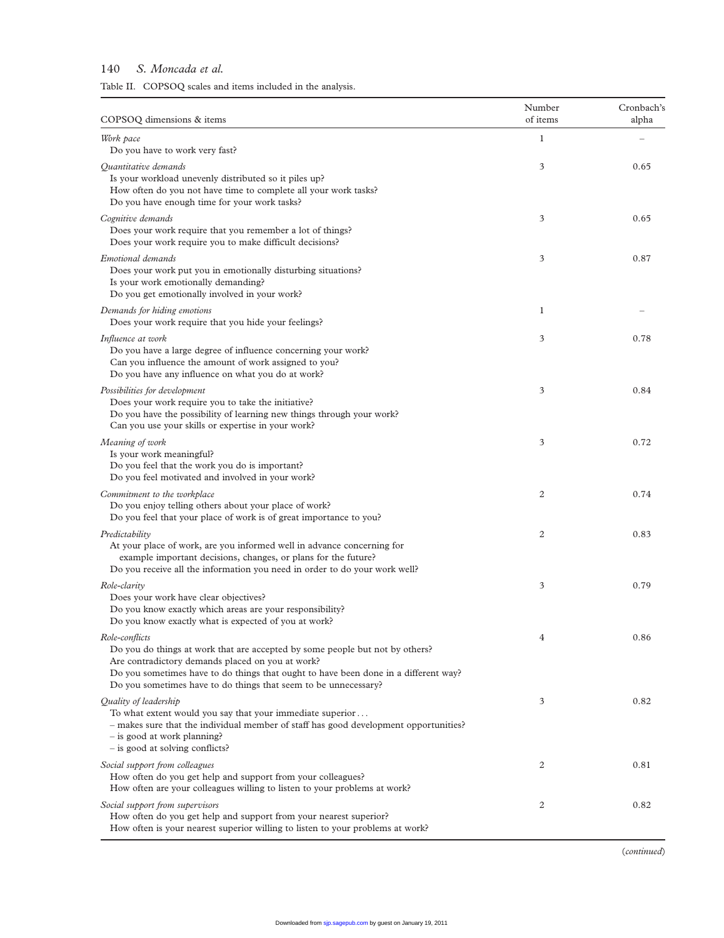## 140 S. Moncada et al.

|  | Table II. COPSOQ scales and items included in the analysis. |  |  |  |  |  |  |
|--|-------------------------------------------------------------|--|--|--|--|--|--|
|--|-------------------------------------------------------------|--|--|--|--|--|--|

| COPSOQ dimensions & items                                                                                                                                                                                                                                                                                    | Number<br>of items | Cronbach's<br>alpha |
|--------------------------------------------------------------------------------------------------------------------------------------------------------------------------------------------------------------------------------------------------------------------------------------------------------------|--------------------|---------------------|
| Work pace<br>Do you have to work very fast?                                                                                                                                                                                                                                                                  | 1                  |                     |
| Quantitative demands<br>Is your workload unevenly distributed so it piles up?<br>How often do you not have time to complete all your work tasks?<br>Do you have enough time for your work tasks?                                                                                                             | 3                  | 0.65                |
| Cognitive demands<br>Does your work require that you remember a lot of things?<br>Does your work require you to make difficult decisions?                                                                                                                                                                    | $\mathfrak{Z}$     | 0.65                |
| Emotional demands<br>Does your work put you in emotionally disturbing situations?<br>Is your work emotionally demanding?<br>Do you get emotionally involved in your work?                                                                                                                                    | 3                  | 0.87                |
| Demands for hiding emotions<br>Does your work require that you hide your feelings?                                                                                                                                                                                                                           | $\mathbf{1}$       |                     |
| Influence at work<br>Do you have a large degree of influence concerning your work?<br>Can you influence the amount of work assigned to you?<br>Do you have any influence on what you do at work?                                                                                                             | 3                  | 0.78                |
| Possibilities for development<br>Does your work require you to take the initiative?<br>Do you have the possibility of learning new things through your work?<br>Can you use your skills or expertise in your work?                                                                                           | 3                  | 0.84                |
| Meaning of work<br>Is your work meaningful?<br>Do you feel that the work you do is important?<br>Do you feel motivated and involved in your work?                                                                                                                                                            | 3                  | 0.72                |
| Commitment to the workplace<br>Do you enjoy telling others about your place of work?<br>Do you feel that your place of work is of great importance to you?                                                                                                                                                   | $\mathbf{2}$       | 0.74                |
| Predictability<br>At your place of work, are you informed well in advance concerning for<br>example important decisions, changes, or plans for the future?<br>Do you receive all the information you need in order to do your work well?                                                                     | 2                  | 0.83                |
| Role-clarity<br>Does your work have clear objectives?<br>Do you know exactly which areas are your responsibility?<br>Do you know exactly what is expected of you at work?                                                                                                                                    | 3                  | 0.79                |
| Role-conflicts<br>Do you do things at work that are accepted by some people but not by others?<br>Are contradictory demands placed on you at work?<br>Do you sometimes have to do things that ought to have been done in a different way?<br>Do you sometimes have to do things that seem to be unnecessary? | $\overline{4}$     | 0.86                |
| Quality of leadership<br>To what extent would you say that your immediate superior<br>- makes sure that the individual member of staff has good development opportunities?<br>$-$ is good at work planning?<br>$-$ is good at solving conflicts?                                                             | 3                  | 0.82                |
| Social support from colleagues<br>How often do you get help and support from your colleagues?<br>How often are your colleagues willing to listen to your problems at work?                                                                                                                                   | 2                  | 0.81                |
| Social support from supervisors<br>How often do you get help and support from your nearest superior?<br>How often is your nearest superior willing to listen to your problems at work?                                                                                                                       | $\overline{c}$     | 0.82                |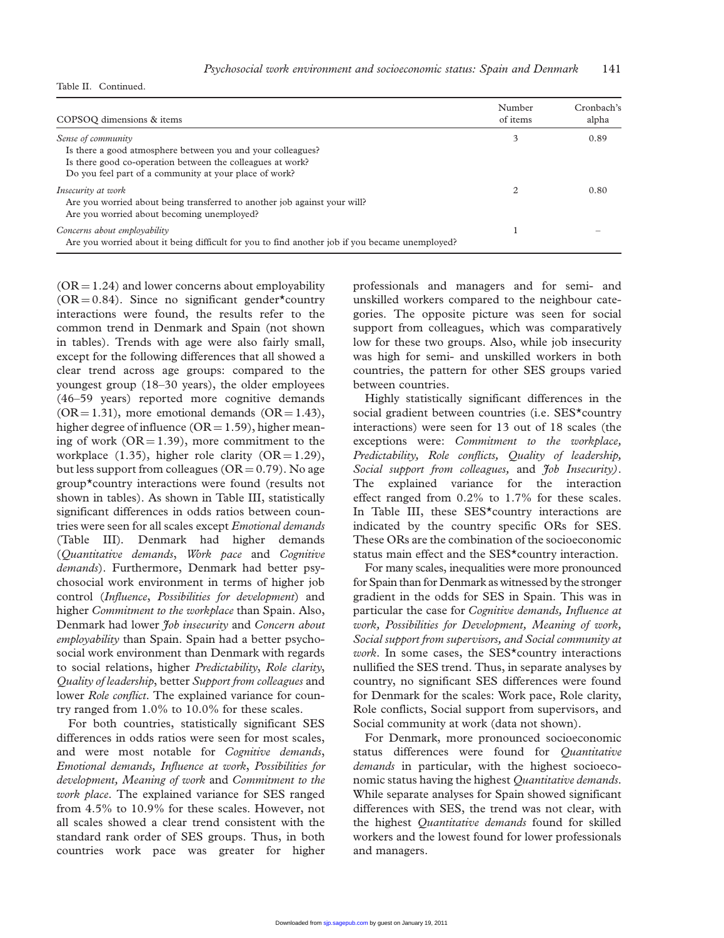#### Table II. Continued.

| COPSOO dimensions & items                                                                                                                                                                                 | Number<br>of items | Cronbach's<br>alpha |
|-----------------------------------------------------------------------------------------------------------------------------------------------------------------------------------------------------------|--------------------|---------------------|
| Sense of community<br>Is there a good atmosphere between you and your colleagues?<br>Is there good co-operation between the colleagues at work?<br>Do you feel part of a community at your place of work? | 3                  | 0.89                |
| Insecurity at work<br>Are you worried about being transferred to another job against your will?<br>Are you worried about becoming unemployed?                                                             |                    | 0.80                |
| Concerns about employability<br>Are you worried about it being difficult for you to find another job if you became unemployed?                                                                            |                    |                     |

 $(OR = 1.24)$  and lower concerns about employability  $(OR = 0.84)$ . Since no significant gender\*country interactions were found, the results refer to the common trend in Denmark and Spain (not shown in tables). Trends with age were also fairly small, except for the following differences that all showed a clear trend across age groups: compared to the youngest group (18–30 years), the older employees (46–59 years) reported more cognitive demands  $(OR = 1.31)$ , more emotional demands  $(OR = 1.43)$ , higher degree of influence ( $OR = 1.59$ ), higher meaning of work  $(OR = 1.39)$ , more commitment to the workplace (1.35), higher role clarity ( $OR = 1.29$ ), but less support from colleagues ( $OR = 0.79$ ). No age group\*country interactions were found (results not shown in tables). As shown in Table III, statistically significant differences in odds ratios between countries were seen for all scales except Emotional demands (Table III). Denmark had higher demands (Quantitative demands, Work pace and Cognitive demands). Furthermore, Denmark had better psychosocial work environment in terms of higher job control (Influence, Possibilities for development) and higher Commitment to the workplace than Spain. Also, Denmark had lower Job insecurity and Concern about employability than Spain. Spain had a better psychosocial work environment than Denmark with regards to social relations, higher Predictability, Role clarity, Quality of leadership, better Support from colleagues and lower *Role conflict*. The explained variance for country ranged from 1.0% to 10.0% for these scales.

For both countries, statistically significant SES differences in odds ratios were seen for most scales, and were most notable for Cognitive demands, Emotional demands, Influence at work, Possibilities for development, Meaning of work and Commitment to the work place. The explained variance for SES ranged from 4.5% to 10.9% for these scales. However, not all scales showed a clear trend consistent with the standard rank order of SES groups. Thus, in both countries work pace was greater for higher professionals and managers and for semi- and unskilled workers compared to the neighbour categories. The opposite picture was seen for social support from colleagues, which was comparatively low for these two groups. Also, while job insecurity was high for semi- and unskilled workers in both countries, the pattern for other SES groups varied between countries.

Highly statistically significant differences in the social gradient between countries (i.e. SES\*country interactions) were seen for 13 out of 18 scales (the exceptions were: Commitment to the workplace, Predictability, Role conflicts, Quality of leadership, Social support from colleagues, and Job Insecurity). The explained variance for the interaction effect ranged from 0.2% to 1.7% for these scales. In Table III, these SES\*country interactions are indicated by the country specific ORs for SES. These ORs are the combination of the socioeconomic status main effect and the SES\*country interaction.

For many scales, inequalities were more pronounced for Spain than for Denmark as witnessed by the stronger gradient in the odds for SES in Spain. This was in particular the case for Cognitive demands, Influence at work, Possibilities for Development, Meaning of work, Social support from supervisors, and Social community at work. In some cases, the SES\*country interactions nullified the SES trend. Thus, in separate analyses by country, no significant SES differences were found for Denmark for the scales: Work pace, Role clarity, Role conflicts, Social support from supervisors, and Social community at work (data not shown).

For Denmark, more pronounced socioeconomic status differences were found for Quantitative demands in particular, with the highest socioeconomic status having the highest Quantitative demands. While separate analyses for Spain showed significant differences with SES, the trend was not clear, with the highest Quantitative demands found for skilled workers and the lowest found for lower professionals and managers.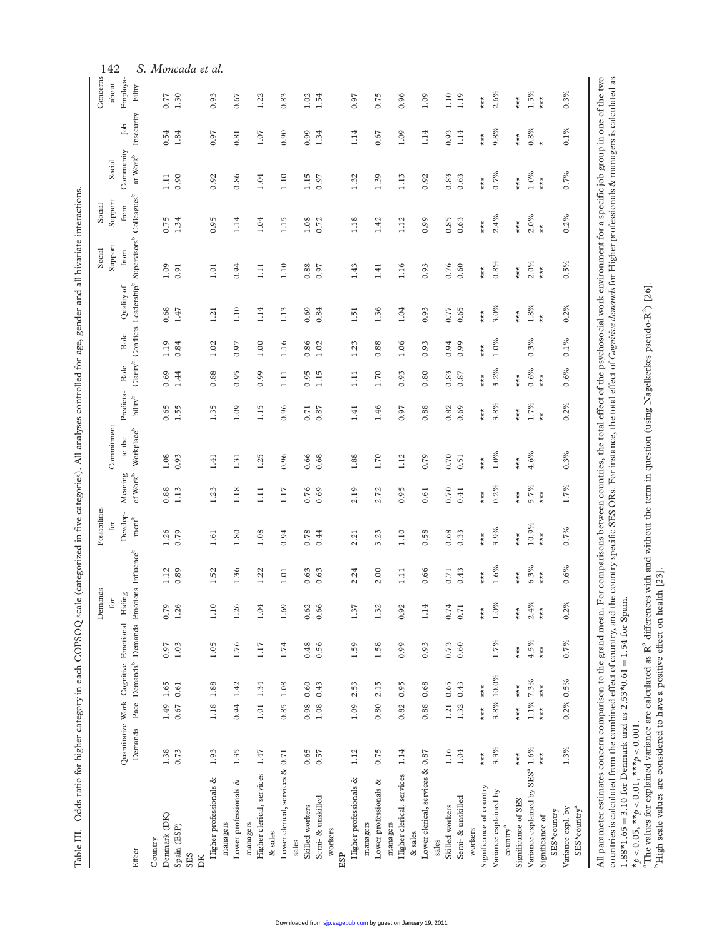|                                                                   |         |                                       |                                                                   | Demands |          | Possibilities              |                        |                                                                                                                                 |                            |                              |         |                                   | Social                   | Social                  |                                          |            | Concerns               |
|-------------------------------------------------------------------|---------|---------------------------------------|-------------------------------------------------------------------|---------|----------|----------------------------|------------------------|---------------------------------------------------------------------------------------------------------------------------------|----------------------------|------------------------------|---------|-----------------------------------|--------------------------|-------------------------|------------------------------------------|------------|------------------------|
|                                                                   |         |                                       |                                                                   | for     |          | for                        |                        | Commitment                                                                                                                      |                            |                              |         |                                   | Support                  | Support                 | Social                                   |            | 142<br>about           |
|                                                                   |         | Quantitative Work Cognitive Emotional | Pace Demands <sup>b</sup> Demands Emotions Influence <sup>b</sup> | Hiding  |          | Develop-                   | of Work $b$<br>Meaning | to the                                                                                                                          | Predicta-                  | Clarity <sup>b</sup><br>Role | Role    | Quality of                        | from                     | from                    | Community                                | Job        | Employa-               |
| Effect                                                            | Demands |                                       |                                                                   |         |          | $\mathrm{ment}^\mathrm{b}$ |                        | Workplaceb                                                                                                                      | $\text{bility}^{\text{b}}$ |                              |         | Conflicts Leadership <sup>b</sup> | Supervisors <sup>b</sup> | Colleagues <sup>b</sup> | at $\ensuremath{\text{Work}}^{\text{b}}$ | Insecurity | S.<br>bility           |
| Denmark (DK)<br>Country                                           | 1.38    |                                       |                                                                   | 0.79    | 1.12     |                            |                        |                                                                                                                                 |                            |                              |         |                                   |                          |                         | $\Xi$                                    |            | 0.77                   |
|                                                                   |         | 1.65<br>1.49                          | 0.97                                                              |         |          | 1.26                       | 0.88                   | 1.08                                                                                                                            | 0.65                       | 0.69                         | 1.19    | 0.68                              | 1.09                     | 0.75                    |                                          | 0.54       |                        |
| Spain (ESP)<br><b>SES</b>                                         | 0.73    | 0.61<br>$0.67$                        | 1.03                                                              | 1.26    | 0.89     | 0.79                       | 1.13                   | 0.93                                                                                                                            | 1.55                       | 1.44                         | 0.84    | 1.47                              | 0.91                     | 1.34                    | 0.90                                     | 1.84       | Moncada et al.<br>1.30 |
| DK                                                                |         |                                       |                                                                   |         |          |                            |                        |                                                                                                                                 |                            |                              |         |                                   |                          |                         |                                          |            |                        |
| Higher professionals &                                            | 1.93    | 1.88<br>1.18                          | 1.05                                                              | 1.10    | 1.52     | $1.61\,$                   | 1.23                   | 1.41                                                                                                                            | 1.35                       | 0.88                         | 1.02    | 1.21                              | $1.01$                   | 0.95                    | 0.92                                     | 0.97       | 0.93                   |
| managers                                                          |         |                                       |                                                                   |         |          |                            |                        |                                                                                                                                 |                            |                              |         |                                   |                          |                         |                                          |            |                        |
| Lower professionals &                                             | 1.35    | $0.94$ 1.42                           | 1.76                                                              | 1.26    | 1.36     | $1.80\,$                   | 1.18                   | 1.31                                                                                                                            | 1.09                       | 0.95                         | 0.97    | 1.10                              | 0.94                     | 1.14                    | 0.86                                     | 0.81       | 0.67                   |
| managers                                                          |         |                                       |                                                                   |         |          |                            |                        |                                                                                                                                 |                            |                              |         |                                   |                          |                         |                                          |            |                        |
| Higher clerical, services                                         | 1.47    | 1.34<br>$1.01$                        | 1.17                                                              | 1.04    | 1.22     | $1.08$                     | $\Xi$                  | 1.25                                                                                                                            | 1.15                       | 0.99                         | 1.00    | 1.14                              | $\Xi$                    | 1.04                    | 1.04                                     | 1.07       | 1.22                   |
| & sales                                                           |         |                                       |                                                                   |         |          |                            |                        |                                                                                                                                 |                            |                              |         |                                   |                          |                         |                                          |            |                        |
| Lower clerical, services &                                        | 0.71    | $1.08$<br>0.85                        | 1.74                                                              | 1.69    | $1.01\,$ | 0.94                       | 1.17                   | 0.96                                                                                                                            | 0.96                       | $\Xi$                        | 1.16    | 1.13                              | $1.10$                   | 1.15                    | 1.10                                     | 0.90       | 0.83                   |
| sales                                                             |         |                                       |                                                                   |         |          |                            |                        |                                                                                                                                 |                            |                              |         |                                   |                          |                         |                                          |            |                        |
| Skilled workers                                                   | 0.65    | 0.60<br>0.98                          | 0.48                                                              | 0.62    | 0.63     | 0.78                       | 0.76                   | 0.66                                                                                                                            | 0.71                       | 0.95                         | 0.86    | 0.69                              | 0.88                     | 1.08                    | 1.15                                     | 0.99       | 1.02                   |
| Semi- & unskilled                                                 | 0.57    | 0.43<br>$1.08\,$                      | 0.56                                                              | 0.66    | 0.63     | 0.44                       | 0.69                   | 0.68                                                                                                                            | 0.87                       | 1.15                         | 1.02    | 0.84                              | 0.97                     | 0.72                    | 0.97                                     | 1.34       | 1.54                   |
| workers                                                           |         |                                       |                                                                   |         |          |                            |                        |                                                                                                                                 |                            |                              |         |                                   |                          |                         |                                          |            |                        |
| ESP                                                               |         |                                       |                                                                   |         |          |                            |                        |                                                                                                                                 |                            |                              |         |                                   |                          |                         |                                          |            |                        |
| Higher professionals &                                            | 1.12    | 2.53<br>1.09                          | 1.59                                                              | 1.37    | 2.24     | 2.21                       | 2.19                   | 1.88                                                                                                                            | 1.41                       | $\Xi$                        | 1.23    | 1.51                              | 1.43                     | 1.18                    | 1.32                                     | 1.14       | 0.97                   |
| managers                                                          |         |                                       |                                                                   |         |          |                            |                        |                                                                                                                                 |                            |                              |         |                                   |                          |                         |                                          |            |                        |
| Lower professionals &                                             | 0.75    | 2.15<br>$0.80\,$                      | 1.58                                                              | 1.32    | 2.00     | 3.23                       | 2.72                   | 1.70                                                                                                                            | 1.46                       | 1.70                         | 0.88    | 1.36                              | 1.41                     | 1.42                    | 1.39                                     | 0.67       | 0.75                   |
| managers                                                          |         |                                       |                                                                   |         |          |                            |                        |                                                                                                                                 |                            |                              |         |                                   |                          |                         |                                          |            |                        |
| Higher clerical, services                                         | 1.14    | 0.95<br>0.82                          | 0.99                                                              | 0.92    | $\Xi$    | 1.10                       | 0.95                   | 1.12                                                                                                                            | 0.97                       | 0.93                         | 1.06    | 1.04                              | 1.16                     | 1.12                    | 1.13                                     | 1.09       | 0.96                   |
| & sales                                                           |         |                                       |                                                                   |         |          |                            |                        |                                                                                                                                 |                            |                              |         |                                   |                          |                         |                                          |            |                        |
| Lower clerical, services &                                        | 0.87    | 0.68<br>$0.88\,$                      | 0.93                                                              | 1.14    | 0.66     | 0.58                       | 0.61                   | 0.79                                                                                                                            | 0.88                       | $0.80\,$                     | 0.93    | 0.93                              | 0.93                     | 0.99                    | 0.92                                     | 1.14       | 1.09                   |
| sales                                                             |         |                                       |                                                                   |         |          |                            |                        |                                                                                                                                 |                            |                              |         |                                   |                          |                         |                                          |            |                        |
| Skilled workers                                                   | 1.16    | 0.65<br>1.21                          | 0.73                                                              | 0.74    | 0.71     | 0.68                       | 0.70                   | 0.70                                                                                                                            | 0.82                       | 0.83                         | 0.94    | 0.77                              | 0.76                     | 0.85                    | 0.83                                     | 0.93       | 1.10                   |
| Semi- & unskilled                                                 | 1.04    | 0.43<br>1.32                          | 0.60                                                              | 0.71    | 0.43     | 0.33                       | 0.41                   | 0.51                                                                                                                            | 0.69                       | 0.87                         | 0.99    | 0.65                              | 0.60                     | 0.63                    | 0.63                                     | 1.14       | 1.19                   |
| workers                                                           |         |                                       |                                                                   |         |          |                            |                        |                                                                                                                                 |                            |                              |         |                                   |                          |                         |                                          |            |                        |
| Significance of country                                           | $***$   | ***<br>$***$                          |                                                                   | $***$   | $***$    | $***$                      | $***$                  | $***$                                                                                                                           | $***$                      | $***$                        | $***$   | $***$                             | $***$                    | ***                     | ***                                      | $***$      | $***$                  |
| Variance explained by                                             | 3.3%    | 3.8% 10.0%                            | $1.7\%$                                                           | $1.0\%$ | $1.6\%$  | 3.9%                       | $0.2\%$                | $1.0\%$                                                                                                                         | 3.8%                       | 3.2%                         | $1.0\%$ | 3.0%                              | $0.8\%$                  | 2.4%                    | 0.7%                                     | $9.8\%$    | 2.6%                   |
| $\mathrm{country}^\mathrm{a}$                                     |         |                                       |                                                                   |         |          |                            |                        |                                                                                                                                 |                            |                              |         |                                   |                          |                         |                                          |            |                        |
| Significance of SES                                               | $***$   | $***$<br>$***$                        | $***$                                                             | $***$   | $***$    | $***$                      | $***$                  | $***$                                                                                                                           | $***$                      | $***$                        |         | $***$                             | $***$                    | $***$                   | $***$                                    | $***$      | $***$                  |
| Variance explained by SES <sup>ª</sup> 1.6%                       |         | 1.1% 7.3%                             | $4.5\%$                                                           | 2.4%    | 6.3%     | 10.9%                      | 5.7%                   | $4.6\%$                                                                                                                         | $1.7\%$                    | $0.6\%$                      | 0.3%    | $1.8\%$                           | $2.0\%$                  | 2.0%                    | $1.0\%$                                  | $0.8\%$    | $1.5\%$                |
| Significance of                                                   | $***$   | $***$<br>$***$                        | $***$                                                             | $***$   | $***$    | $***$                      | $***$                  |                                                                                                                                 | $\star$                    | $***$                        |         | $\ddot{z}$                        | $***$                    | $\ddot{\ast}$           | $***$                                    | $\star$    | $***$                  |
| SES*country                                                       |         |                                       |                                                                   |         |          |                            |                        |                                                                                                                                 |                            |                              |         |                                   |                          |                         |                                          |            |                        |
| Variance expl. by                                                 | $1.3\%$ | $0.2\%$ 0.5%                          | $0.7\%$                                                           | $0.2\%$ | 0.6%     | $0.7\%$                    | $1.7\%$                | $0.3\%$                                                                                                                         | $0.2\%$                    | 0.6%                         | $0.1\%$ | $0.2\%$                           | $0.5\%$                  | $0.2\%$                 | $0.7\%$                                  | $0.1\,\%$  | $0.3\%$                |
| SES*country <sup>a</sup>                                          |         |                                       |                                                                   |         |          |                            |                        |                                                                                                                                 |                            |                              |         |                                   |                          |                         |                                          |            |                        |
| All parameter estimates concern comparison to the grand mean. For |         |                                       |                                                                   |         |          |                            |                        | comparisons between countries, the total effect of the psychosocial work environment for a specific job group in one of the two |                            |                              |         |                                   |                          |                         |                                          |            |                        |
|                                                                   |         |                                       |                                                                   |         |          |                            |                        |                                                                                                                                 |                            |                              |         |                                   |                          |                         |                                          |            |                        |

Table III. Odds ratio for higher category in each COPSOQ scale (categorized in five categories). All analyses controlled for age, gender and all bivariate interactions. Table III. Odds ratio for higher category in each COPSOQ scale (categorized in five categories). All analyses controlled for age, gender and all bivariate interactions.

countries is calculated from the combined effect of country, and the country specific SES ORs. For instance, the total effect of *Cognitive demands* for Higher professionals & managers is calculated as 1.88\*1.65  $=$  3.10 for Denmark and as 2.53 $*$ 0.61  $= 1.54$  for Spain.

\*p < 0.05, \*\*p < 0.01, \*\*\*p < 0.001.<br>"The values for explained variance are calculated as R<sup>2</sup> differences with and without the term in question (using Nagelkerkes pseudo-R<sup>3</sup>) [26].<br>"High scale values are considered to h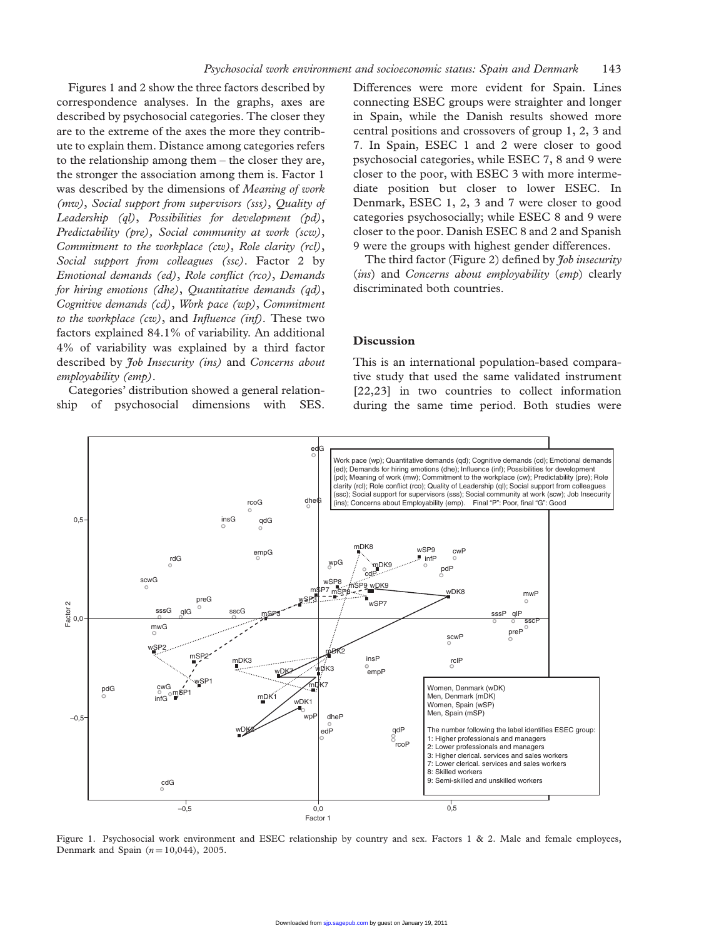Figures 1 and 2 show the three factors described by correspondence analyses. In the graphs, axes are described by psychosocial categories. The closer they are to the extreme of the axes the more they contribute to explain them. Distance among categories refers to the relationship among them – the closer they are, the stronger the association among them is. Factor 1 was described by the dimensions of Meaning of work (mw), Social support from supervisors (sss), Quality of Leadership (ql), Possibilities for development (pd), Predictability (pre), Social community at work (scw), Commitment to the workplace (cw), Role clarity (rcl), Social support from colleagues (ssc). Factor 2 by Emotional demands (ed), Role conflict (rco), Demands for hiring emotions (dhe), Quantitative demands (qd), Cognitive demands (cd), Work pace (wp), Commitment to the workplace (cw), and Influence (inf). These two factors explained 84.1% of variability. An additional 4% of variability was explained by a third factor described by *Job Insecurity (ins)* and *Concerns about* employability (emp).

Categories' distribution showed a general relationship of psychosocial dimensions with SES. Differences were more evident for Spain. Lines connecting ESEC groups were straighter and longer in Spain, while the Danish results showed more central positions and crossovers of group 1, 2, 3 and 7. In Spain, ESEC 1 and 2 were closer to good psychosocial categories, while ESEC 7, 8 and 9 were closer to the poor, with ESEC 3 with more intermediate position but closer to lower ESEC. In Denmark, ESEC 1, 2, 3 and 7 were closer to good categories psychosocially; while ESEC 8 and 9 were closer to the poor. Danish ESEC 8 and 2 and Spanish 9 were the groups with highest gender differences.

The third factor (Figure 2) defined by *Job insecurity* (ins) and Concerns about employability (emp) clearly discriminated both countries.

#### Discussion

This is an international population-based comparative study that used the same validated instrument [22,23] in two countries to collect information during the same time period. Both studies were



Figure 1. Psychosocial work environment and ESEC relationship by country and sex. Factors 1 & 2. Male and female employees, Denmark and Spain  $(n = 10,044)$ , 2005.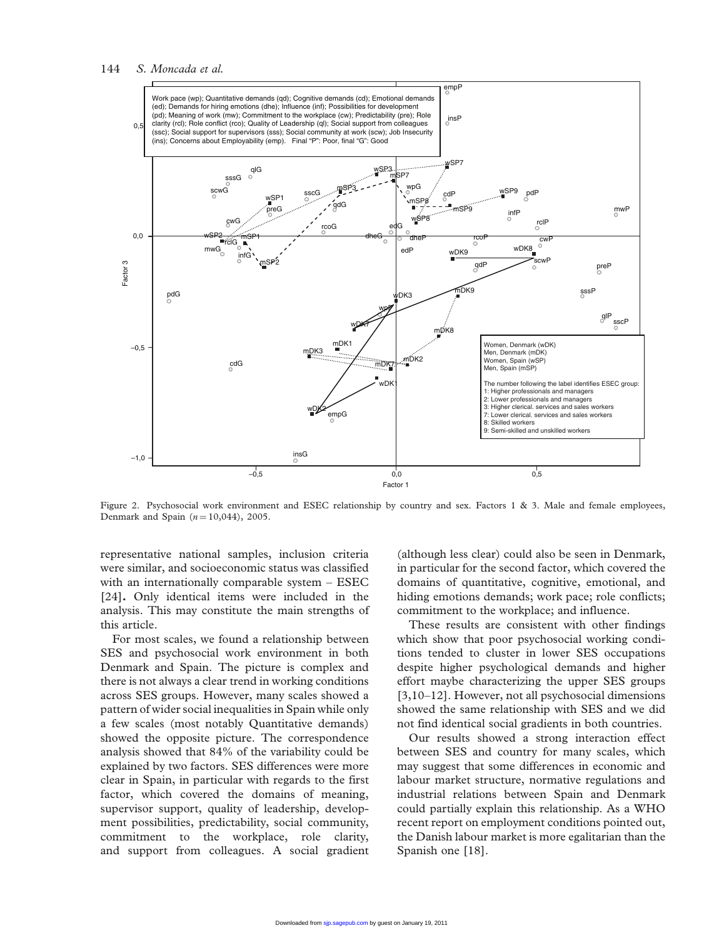

Figure 2. Psychosocial work environment and ESEC relationship by country and sex. Factors 1 & 3. Male and female employees, Denmark and Spain  $(n = 10,044)$ , 2005.

representative national samples, inclusion criteria were similar, and socioeconomic status was classified with an internationally comparable system – ESEC [24]. Only identical items were included in the analysis. This may constitute the main strengths of this article.

For most scales, we found a relationship between SES and psychosocial work environment in both Denmark and Spain. The picture is complex and there is not always a clear trend in working conditions across SES groups. However, many scales showed a pattern of wider social inequalities in Spain while only a few scales (most notably Quantitative demands) showed the opposite picture. The correspondence analysis showed that 84% of the variability could be explained by two factors. SES differences were more clear in Spain, in particular with regards to the first factor, which covered the domains of meaning, supervisor support, quality of leadership, development possibilities, predictability, social community, commitment to the workplace, role clarity, and support from colleagues. A social gradient

(although less clear) could also be seen in Denmark, in particular for the second factor, which covered the domains of quantitative, cognitive, emotional, and hiding emotions demands; work pace; role conflicts; commitment to the workplace; and influence.

These results are consistent with other findings which show that poor psychosocial working conditions tended to cluster in lower SES occupations despite higher psychological demands and higher effort maybe characterizing the upper SES groups [3,10–12]. However, not all psychosocial dimensions showed the same relationship with SES and we did not find identical social gradients in both countries.

Our results showed a strong interaction effect between SES and country for many scales, which may suggest that some differences in economic and labour market structure, normative regulations and industrial relations between Spain and Denmark could partially explain this relationship. As a WHO recent report on employment conditions pointed out, the Danish labour market is more egalitarian than the Spanish one [18].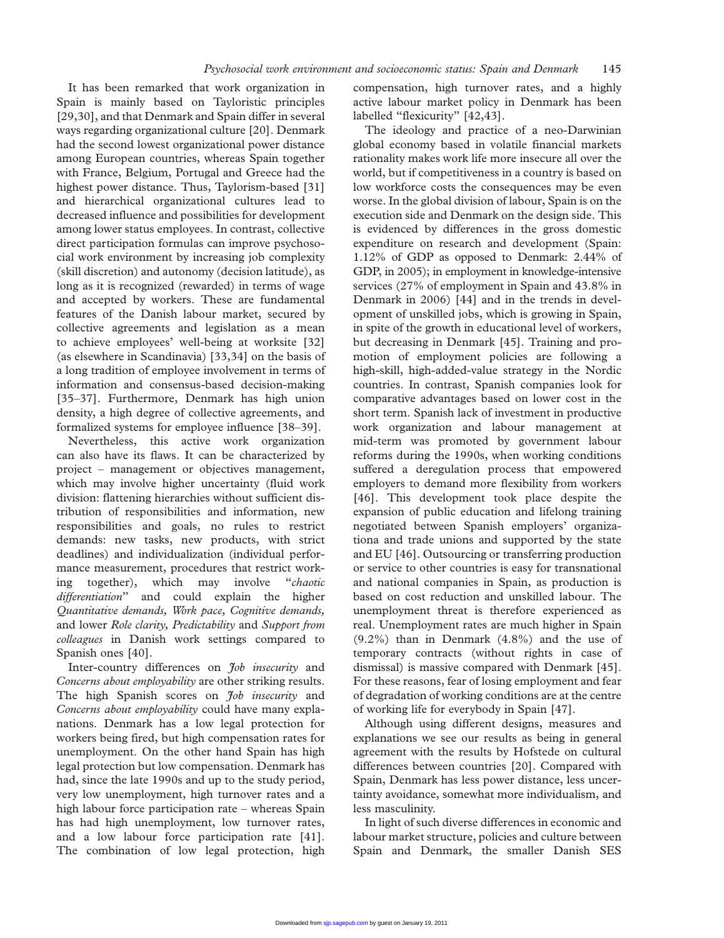It has been remarked that work organization in Spain is mainly based on Tayloristic principles [29,30], and that Denmark and Spain differ in several ways regarding organizational culture [20]. Denmark had the second lowest organizational power distance among European countries, whereas Spain together with France, Belgium, Portugal and Greece had the highest power distance. Thus, Taylorism-based [31] and hierarchical organizational cultures lead to decreased influence and possibilities for development among lower status employees. In contrast, collective direct participation formulas can improve psychosocial work environment by increasing job complexity (skill discretion) and autonomy (decision latitude), as long as it is recognized (rewarded) in terms of wage and accepted by workers. These are fundamental features of the Danish labour market, secured by collective agreements and legislation as a mean to achieve employees' well-being at worksite [32] (as elsewhere in Scandinavia) [33,34] on the basis of a long tradition of employee involvement in terms of information and consensus-based decision-making [35–37]. Furthermore, Denmark has high union density, a high degree of collective agreements, and formalized systems for employee influence [38–39].

Nevertheless, this active work organization can also have its flaws. It can be characterized by project – management or objectives management, which may involve higher uncertainty (fluid work division: flattening hierarchies without sufficient distribution of responsibilities and information, new responsibilities and goals, no rules to restrict demands: new tasks, new products, with strict deadlines) and individualization (individual performance measurement, procedures that restrict working together), which may involve "chaotic differentiation" and could explain the higher Quantitative demands, Work pace, Cognitive demands, and lower Role clarity, Predictability and Support from colleagues in Danish work settings compared to Spanish ones [40].

Inter-country differences on *Job insecurity* and Concerns about employability are other striking results. The high Spanish scores on Job insecurity and Concerns about employability could have many explanations. Denmark has a low legal protection for workers being fired, but high compensation rates for unemployment. On the other hand Spain has high legal protection but low compensation. Denmark has had, since the late 1990s and up to the study period, very low unemployment, high turnover rates and a high labour force participation rate – whereas Spain has had high unemployment, low turnover rates, and a low labour force participation rate [41]. The combination of low legal protection, high compensation, high turnover rates, and a highly active labour market policy in Denmark has been labelled "flexicurity" [42,43].

The ideology and practice of a neo-Darwinian global economy based in volatile financial markets rationality makes work life more insecure all over the world, but if competitiveness in a country is based on low workforce costs the consequences may be even worse. In the global division of labour, Spain is on the execution side and Denmark on the design side. This is evidenced by differences in the gross domestic expenditure on research and development (Spain: 1.12% of GDP as opposed to Denmark: 2.44% of GDP, in 2005); in employment in knowledge-intensive services (27% of employment in Spain and 43.8% in Denmark in 2006) [44] and in the trends in development of unskilled jobs, which is growing in Spain, in spite of the growth in educational level of workers, but decreasing in Denmark [45]. Training and promotion of employment policies are following a high-skill, high-added-value strategy in the Nordic countries. In contrast, Spanish companies look for comparative advantages based on lower cost in the short term. Spanish lack of investment in productive work organization and labour management at mid-term was promoted by government labour reforms during the 1990s, when working conditions suffered a deregulation process that empowered employers to demand more flexibility from workers [46]. This development took place despite the expansion of public education and lifelong training negotiated between Spanish employers' organizationa and trade unions and supported by the state and EU [46]. Outsourcing or transferring production or service to other countries is easy for transnational and national companies in Spain, as production is based on cost reduction and unskilled labour. The unemployment threat is therefore experienced as real. Unemployment rates are much higher in Spain (9.2%) than in Denmark (4.8%) and the use of temporary contracts (without rights in case of dismissal) is massive compared with Denmark [45]. For these reasons, fear of losing employment and fear of degradation of working conditions are at the centre of working life for everybody in Spain [47].

Although using different designs, measures and explanations we see our results as being in general agreement with the results by Hofstede on cultural differences between countries [20]. Compared with Spain, Denmark has less power distance, less uncertainty avoidance, somewhat more individualism, and less masculinity.

In light of such diverse differences in economic and labour market structure, policies and culture between Spain and Denmark, the smaller Danish SES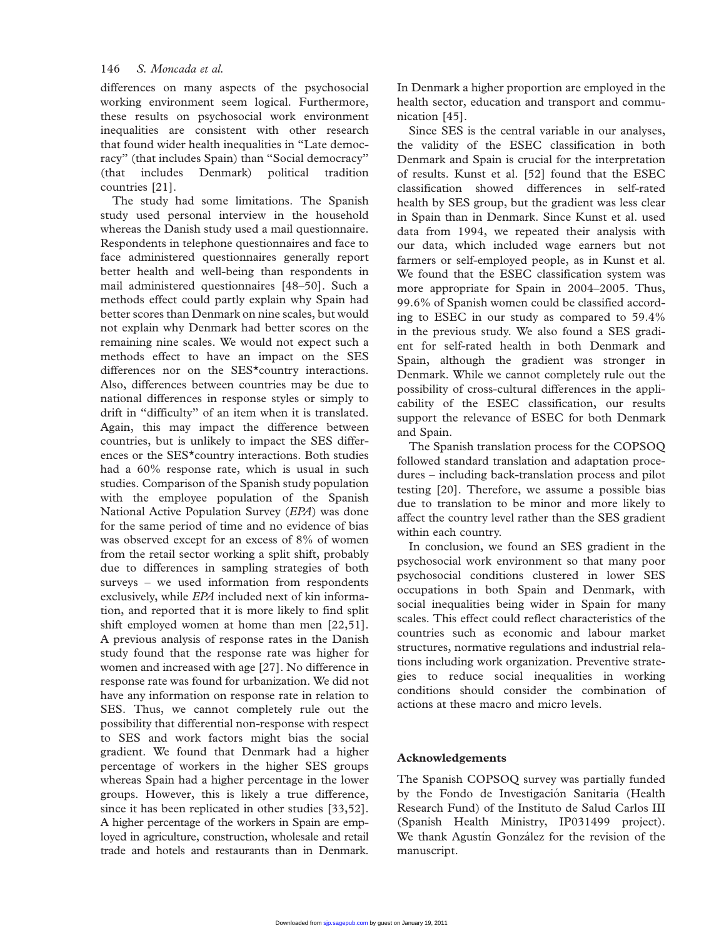differences on many aspects of the psychosocial working environment seem logical. Furthermore, these results on psychosocial work environment inequalities are consistent with other research that found wider health inequalities in ''Late democracy'' (that includes Spain) than ''Social democracy'' (that includes Denmark) political tradition countries [21].

The study had some limitations. The Spanish study used personal interview in the household whereas the Danish study used a mail questionnaire. Respondents in telephone questionnaires and face to face administered questionnaires generally report better health and well-being than respondents in mail administered questionnaires [48–50]. Such a methods effect could partly explain why Spain had better scores than Denmark on nine scales, but would not explain why Denmark had better scores on the remaining nine scales. We would not expect such a methods effect to have an impact on the SES differences nor on the SES\*country interactions. Also, differences between countries may be due to national differences in response styles or simply to drift in ''difficulty'' of an item when it is translated. Again, this may impact the difference between countries, but is unlikely to impact the SES differences or the SES\*country interactions. Both studies had a 60% response rate, which is usual in such studies. Comparison of the Spanish study population with the employee population of the Spanish National Active Population Survey (EPA) was done for the same period of time and no evidence of bias was observed except for an excess of 8% of women from the retail sector working a split shift, probably due to differences in sampling strategies of both surveys – we used information from respondents exclusively, while EPA included next of kin information, and reported that it is more likely to find split shift employed women at home than men [22,51]. A previous analysis of response rates in the Danish study found that the response rate was higher for women and increased with age [27]. No difference in response rate was found for urbanization. We did not have any information on response rate in relation to SES. Thus, we cannot completely rule out the possibility that differential non-response with respect to SES and work factors might bias the social gradient. We found that Denmark had a higher percentage of workers in the higher SES groups whereas Spain had a higher percentage in the lower groups. However, this is likely a true difference, since it has been replicated in other studies [33,52]. A higher percentage of the workers in Spain are employed in agriculture, construction, wholesale and retail trade and hotels and restaurants than in Denmark.

In Denmark a higher proportion are employed in the health sector, education and transport and communication [45].

Since SES is the central variable in our analyses, the validity of the ESEC classification in both Denmark and Spain is crucial for the interpretation of results. Kunst et al. [52] found that the ESEC classification showed differences in self-rated health by SES group, but the gradient was less clear in Spain than in Denmark. Since Kunst et al. used data from 1994, we repeated their analysis with our data, which included wage earners but not farmers or self-employed people, as in Kunst et al. We found that the ESEC classification system was more appropriate for Spain in 2004–2005. Thus, 99.6% of Spanish women could be classified according to ESEC in our study as compared to 59.4% in the previous study. We also found a SES gradient for self-rated health in both Denmark and Spain, although the gradient was stronger in Denmark. While we cannot completely rule out the possibility of cross-cultural differences in the applicability of the ESEC classification, our results support the relevance of ESEC for both Denmark and Spain.

The Spanish translation process for the COPSOQ followed standard translation and adaptation procedures – including back-translation process and pilot testing [20]. Therefore, we assume a possible bias due to translation to be minor and more likely to affect the country level rather than the SES gradient within each country.

In conclusion, we found an SES gradient in the psychosocial work environment so that many poor psychosocial conditions clustered in lower SES occupations in both Spain and Denmark, with social inequalities being wider in Spain for many scales. This effect could reflect characteristics of the countries such as economic and labour market structures, normative regulations and industrial relations including work organization. Preventive strategies to reduce social inequalities in working conditions should consider the combination of actions at these macro and micro levels.

### Acknowledgements

The Spanish COPSOQ survey was partially funded by the Fondo de Investigación Sanitaria (Health Research Fund) of the Instituto de Salud Carlos III (Spanish Health Ministry, IP031499 project). We thank Agustín González for the revision of the manuscript.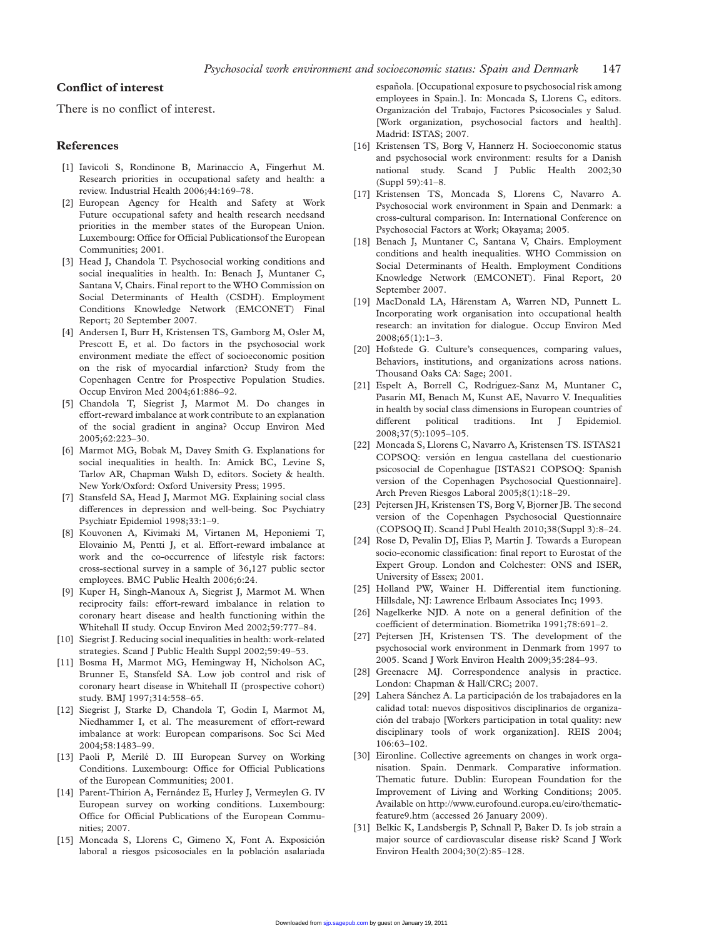#### Conflict of interest

There is no conflict of interest.

#### References

- [1] Iavicoli S, Rondinone B, Marinaccio A, Fingerhut M. Research priorities in occupational safety and health: a review. Industrial Health 2006;44:169–78.
- [2] European Agency for Health and Safety at Work Future occupational safety and health research needsand priorities in the member states of the European Union. Luxembourg: Office for Official Publicationsof the European Communities; 2001.
- [3] Head J, Chandola T. Psychosocial working conditions and social inequalities in health. In: Benach J, Muntaner C, Santana V, Chairs. Final report to the WHO Commission on Social Determinants of Health (CSDH). Employment Conditions Knowledge Network (EMCONET) Final Report; 20 September 2007.
- [4] Andersen I, Burr H, Kristensen TS, Gamborg M, Osler M, Prescott E, et al. Do factors in the psychosocial work environment mediate the effect of socioeconomic position on the risk of myocardial infarction? Study from the Copenhagen Centre for Prospective Population Studies. Occup Environ Med 2004;61:886–92.
- [5] Chandola T, Siegrist J, Marmot M. Do changes in effort-reward imbalance at work contribute to an explanation of the social gradient in angina? Occup Environ Med 2005;62:223–30.
- [6] Marmot MG, Bobak M, Davey Smith G. Explanations for social inequalities in health. In: Amick BC, Levine S, Tarlov AR, Chapman Walsh D, editors. Society & health. New York/Oxford: Oxford University Press; 1995.
- [7] Stansfeld SA, Head J, Marmot MG. Explaining social class differences in depression and well-being. Soc Psychiatry Psychiatr Epidemiol 1998;33:1–9.
- [8] Kouvonen A, Kivimaki M, Virtanen M, Heponiemi T, Elovainio M, Pentti J, et al. Effort-reward imbalance at work and the co-occurrence of lifestyle risk factors: cross-sectional survey in a sample of 36,127 public sector employees. BMC Public Health 2006;6:24.
- [9] Kuper H, Singh-Manoux A, Siegrist J, Marmot M. When reciprocity fails: effort-reward imbalance in relation to coronary heart disease and health functioning within the Whitehall II study. Occup Environ Med 2002;59:777–84.
- [10] Siegrist J. Reducing social inequalities in health: work-related strategies. Scand J Public Health Suppl 2002;59:49–53.
- [11] Bosma H, Marmot MG, Hemingway H, Nicholson AC, Brunner E, Stansfeld SA. Low job control and risk of coronary heart disease in Whitehall II (prospective cohort) study. BMJ 1997;314:558–65.
- [12] Siegrist J, Starke D, Chandola T, Godin I, Marmot M, Niedhammer I, et al. The measurement of effort-reward imbalance at work: European comparisons. Soc Sci Med 2004;58:1483–99.
- [13] Paoli P, Merilé D. III European Survey on Working Conditions. Luxembourg: Office for Official Publications of the European Communities; 2001.
- [14] Parent-Thirion A, Fernández E, Hurley J, Vermeylen G. IV European survey on working conditions. Luxembourg: Office for Official Publications of the European Communities; 2007.
- [15] Moncada S, Llorens C, Gimeno X, Font A. Exposición laboral a riesgos psicosociales en la población asalariada

española. [Occupational exposure to psychosocial risk among employees in Spain.]. In: Moncada S, Llorens C, editors. Organización del Trabajo, Factores Psicosociales y Salud. [Work organization, psychosocial factors and health]. Madrid: ISTAS; 2007.

- [16] Kristensen TS, Borg V, Hannerz H. Socioeconomic status and psychosocial work environment: results for a Danish national study. Scand J Public Health 2002;30 (Suppl 59):41–8.
- [17] Kristensen TS, Moncada S, Llorens C, Navarro A. Psychosocial work environment in Spain and Denmark: a cross-cultural comparison. In: International Conference on Psychosocial Factors at Work; Okayama; 2005.
- [18] Benach J, Muntaner C, Santana V, Chairs. Employment conditions and health inequalities. WHO Commission on Social Determinants of Health. Employment Conditions Knowledge Network (EMCONET). Final Report, 20 September 2007.
- [19] MacDonald LA, Härenstam A, Warren ND, Punnett L. Incorporating work organisation into occupational health research: an invitation for dialogue. Occup Environ Med 2008;65(1):1–3.
- [20] Hofstede G. Culture's consequences, comparing values, Behaviors, institutions, and organizations across nations. Thousand Oaks CA: Sage; 2001.
- [21] Espelt A, Borrell C, Rodríguez-Sanz M, Muntaner C, Pasarín MI, Benach M, Kunst AE, Navarro V. Inequalities in health by social class dimensions in European countries of different political traditions. Int J Epidemiol. 2008;37(5):1095–105.
- [22] Moncada S, Llorens C, Navarro A, Kristensen TS. ISTAS21 COPSOQ: versión en lengua castellana del cuestionario psicosocial de Copenhague [ISTAS21 COPSOQ: Spanish version of the Copenhagen Psychosocial Questionnaire]. Arch Preven Riesgos Laboral 2005;8(1):18–29.
- [23] Pejtersen JH, Kristensen TS, Borg V, Bjorner JB. The second version of the Copenhagen Psychosocial Questionnaire (COPSOQ II). Scand J Publ Health 2010;38(Suppl 3):8–24.
- [24] Rose D, Pevalin DJ, Elias P, Martin J. Towards a European socio-economic classification: final report to Eurostat of the Expert Group. London and Colchester: ONS and ISER, University of Essex; 2001.
- [25] Holland PW, Wainer H. Differential item functioning. Hillsdale, NJ: Lawrence Erlbaum Associates Inc; 1993.
- [26] Nagelkerke NJD. A note on a general definition of the coefficient of determination. Biometrika 1991;78:691–2.
- [27] Pejtersen JH, Kristensen TS. The development of the psychosocial work environment in Denmark from 1997 to 2005. Scand J Work Environ Health 2009;35:284–93.
- [28] Greenacre MJ. Correspondence analysis in practice. London: Chapman & Hall/CRC; 2007.
- [29] Lahera Sánchez A. La participación de los trabajadores en la calidad total: nuevos dispositivos disciplinarios de organización del trabajo [Workers participation in total quality: new disciplinary tools of work organization]. REIS 2004; 106:63–102.
- [30] Eironline. Collective agreements on changes in work organisation. Spain. Denmark. Comparative information. Thematic future. Dublin: European Foundation for the Improvement of Living and Working Conditions; 2005. Available on http://www.eurofound.europa.eu/eiro/thematicfeature9.htm (accessed 26 January 2009).
- [31] Belkic K, Landsbergis P, Schnall P, Baker D. Is job strain a major source of cardiovascular disease risk? Scand J Work Environ Health 2004;30(2):85–128.